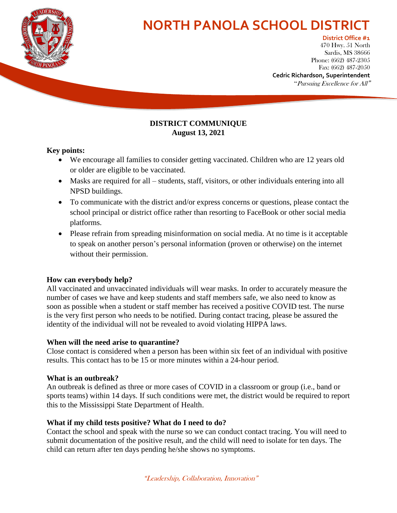

# **NORTH PANOLA SCHOOL DISTRICT**

#### **District Office #1**

**Sardis, MS 38666<br>e: (669) 487-9305** 470 Hwy. 51 North Phone: (662) 487-2305 Fax: (662) 487-2050

**Cedric Richardson, Superintendent** "Pursuing Excellence for All"

#### **DISTRICT COMMUNIQUE August 13, 2021**

#### **Key points:**

- We encourage all families to consider getting vaccinated. Children who are 12 years old or older are eligible to be vaccinated.
- Masks are required for all students, staff, visitors, or other individuals entering into all NPSD buildings.
- To communicate with the district and/or express concerns or questions, please contact the school principal or district office rather than resorting to FaceBook or other social media platforms.
- Please refrain from spreading misinformation on social media. At no time is it acceptable to speak on another person's personal information (proven or otherwise) on the internet without their permission.

# **How can everybody help?**

All vaccinated and unvaccinated individuals will wear masks. In order to accurately measure the number of cases we have and keep students and staff members safe, we also need to know as soon as possible when a student or staff member has received a positive COVID test. The nurse is the very first person who needs to be notified. During contact tracing, please be assured the identity of the individual will not be revealed to avoid violating HIPPA laws.

# **When will the need arise to quarantine?**

Close contact is considered when a person has been within six feet of an individual with positive results. This contact has to be 15 or more minutes within a 24-hour period.

# **What is an outbreak?**

An outbreak is defined as three or more cases of COVID in a classroom or group (i.e., band or sports teams) within 14 days. If such conditions were met, the district would be required to report this to the Mississippi State Department of Health.

# **What if my child tests positive? What do I need to do?**

Contact the school and speak with the nurse so we can conduct contact tracing. You will need to submit documentation of the positive result, and the child will need to isolate for ten days. The child can return after ten days pending he/she shows no symptoms.